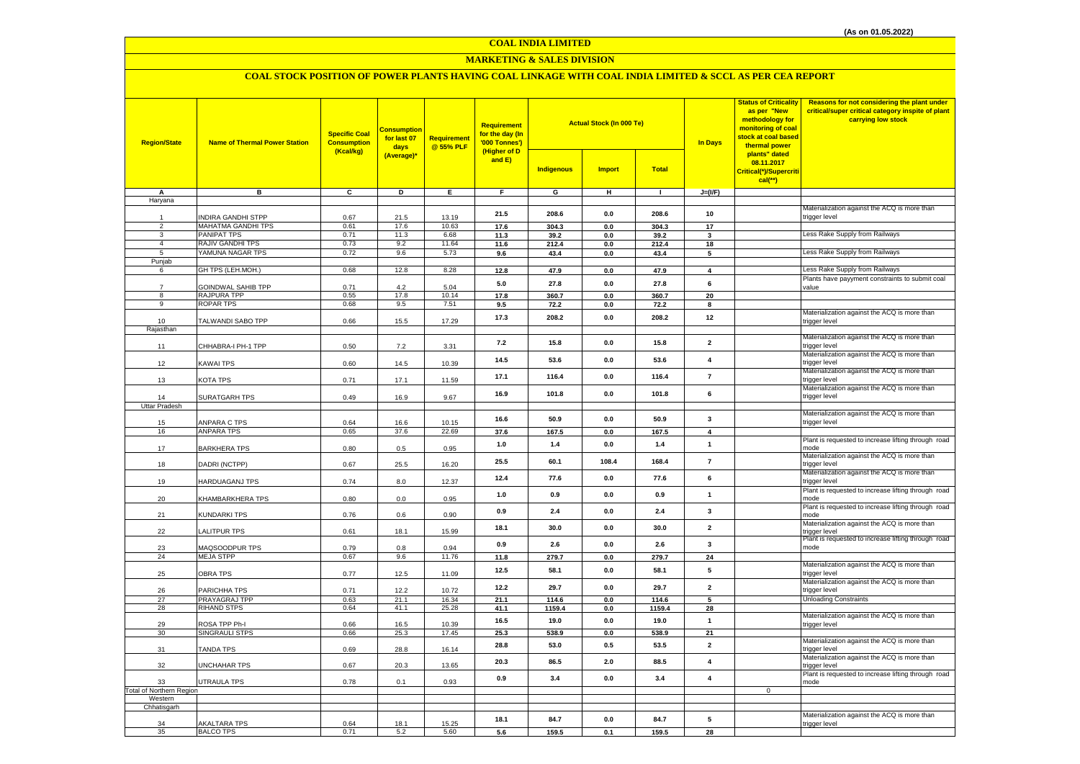#### **COAL INDIA LIMITED**

#### **MARKETING & SALES DIVISION**

## **COAL STOCK POSITION OF POWER PLANTS HAVING COAL LINKAGE WITH COAL INDIA LIMITED & SCCL AS PER CEA REPORT**

| <b>Region/State</b>                   | <b>Name of Thermal Power Station</b>     | <b>Specific Coal</b><br><b>Consumption</b><br>(Kcal/kg) | <b>Consumption</b><br>for last 07<br>days | <b>Requirement</b><br>@ 55% PLF | Requirement<br>for the day (In<br>'000 Tonnes')<br>(Higher of D<br>and E) |                   | <b>Actual Stock (In 000 Te)</b> |                 | <b>Status of Criticality</b><br>as per "New<br>methodology for<br>monitoring of coal<br>stock at coal based<br><b>In Days</b><br>thermal power | Reasons for not considering the plant under<br>critical/super critical category inspite of plant<br>carrying low stock |                                                               |
|---------------------------------------|------------------------------------------|---------------------------------------------------------|-------------------------------------------|---------------------------------|---------------------------------------------------------------------------|-------------------|---------------------------------|-----------------|------------------------------------------------------------------------------------------------------------------------------------------------|------------------------------------------------------------------------------------------------------------------------|---------------------------------------------------------------|
|                                       |                                          |                                                         | (Average)*                                |                                 |                                                                           | <b>Indigenous</b> | <b>Import</b>                   | <b>Total</b>    |                                                                                                                                                | plants" dated<br>08.11.2017<br>Critical(*)/Supercriti<br>$cal$ (**)                                                    |                                                               |
| Α<br>Haryana                          | в                                        | c                                                       | D                                         | E                               | $\overline{F}$                                                            | G                 | н                               | $\blacksquare$  | $J=(VF)$                                                                                                                                       |                                                                                                                        |                                                               |
|                                       |                                          |                                                         |                                           |                                 |                                                                           |                   |                                 |                 |                                                                                                                                                |                                                                                                                        | Materialization against the ACQ is more than                  |
|                                       | <b>NDIRA GANDHI STPP</b>                 | 0.67                                                    | 21.5                                      | 13.19                           | 21.5                                                                      | 208.6             | $0.0\,$                         | 208.6           | 10                                                                                                                                             |                                                                                                                        | trigger level                                                 |
| $\overline{2}$                        | MAHATMA GANDHI TPS                       | 0.61                                                    | 17.6                                      | 10.63                           | 17.6                                                                      | 304.3             | 0.0                             | 304.3           | 17                                                                                                                                             |                                                                                                                        |                                                               |
| 3                                     | PANIPAT TPS                              | 0.71                                                    | 11.3                                      | 6.68                            | 11.3                                                                      | 39.2              | 0.0                             | 39.2            | $\mathbf{3}$                                                                                                                                   |                                                                                                                        | Less Rake Supply from Railways                                |
| $\overline{4}$<br>5                   | RAJIV GANDHI TPS<br>YAMUNA NAGAR TPS     | 0.73<br>0.72                                            | 9.2<br>9.6                                | 11.64<br>5.73                   | 11.6<br>9.6                                                               | 212.4<br>43.4     | 0.0<br>$\mathbf{0.0}$           | 212.4<br>43.4   | 18<br>$5\phantom{.0}$                                                                                                                          |                                                                                                                        | Less Rake Supply from Railways                                |
| Punjab                                |                                          |                                                         |                                           |                                 |                                                                           |                   |                                 |                 |                                                                                                                                                |                                                                                                                        |                                                               |
| 6                                     | GH TPS (LEH.MOH.)                        | 0.68                                                    | 12.8                                      | 8.28                            | 12.8                                                                      | 47.9              | 0.0                             | 47.9            | $\overline{4}$                                                                                                                                 |                                                                                                                        | Less Rake Supply from Railways                                |
|                                       |                                          |                                                         |                                           |                                 | 5.0                                                                       | 27.8              | 0.0                             | 27.8            | 6                                                                                                                                              |                                                                                                                        | Plants have payyment constraints to submit coal               |
| $\overline{7}$<br>8                   | <b>GOINDWAL SAHIB TPP</b><br>RAJPURA TPP | 0.71<br>0.55                                            | 4.2<br>17.8                               | 5.04<br>10.14                   | 17.8                                                                      | 360.7             | 0.0                             | 360.7           | 20                                                                                                                                             |                                                                                                                        | value                                                         |
| 9                                     | ROPAR TPS                                | 0.68                                                    | 9.5                                       | 7.51                            | 9.5                                                                       | 72.2              | 0.0                             | 72.2            | 8                                                                                                                                              |                                                                                                                        |                                                               |
|                                       |                                          |                                                         |                                           |                                 |                                                                           |                   |                                 |                 |                                                                                                                                                |                                                                                                                        | Materialization against the ACQ is more than                  |
| 10                                    | TALWANDI SABO TPP                        | 0.66                                                    | 15.5                                      | 17.29                           | 17.3                                                                      | 208.2             | 0.0                             | 208.2           | 12                                                                                                                                             |                                                                                                                        | trigger level                                                 |
| Rajasthan                             |                                          |                                                         |                                           |                                 |                                                                           |                   |                                 |                 |                                                                                                                                                |                                                                                                                        |                                                               |
| 11                                    | CHHABRA-I PH-1 TPP                       | 0.50                                                    | 7.2                                       | 3.31                            | $7.2$                                                                     | 15.8              | 0.0                             | 15.8            | $\overline{2}$                                                                                                                                 |                                                                                                                        | Materialization against the ACQ is more than<br>trigger level |
|                                       |                                          |                                                         |                                           |                                 |                                                                           |                   |                                 |                 |                                                                                                                                                |                                                                                                                        | Materialization against the ACQ is more than                  |
| 12                                    | KAWAI TPS                                | 0.60                                                    | 14.5                                      | 10.39                           | 14.5                                                                      | 53.6              | $0.0\,$                         | 53.6            | $\overline{\mathbf{4}}$                                                                                                                        |                                                                                                                        | trigger level                                                 |
|                                       |                                          |                                                         |                                           |                                 | 17.1                                                                      | 116.4             | 0.0                             | 116.4           | $\overline{7}$                                                                                                                                 |                                                                                                                        | Materialization against the ACQ is more than                  |
| 13                                    | KOTA TPS                                 | 0.71                                                    | 17.1                                      | 11.59                           |                                                                           |                   |                                 |                 |                                                                                                                                                |                                                                                                                        | trigger level<br>Materialization against the ACQ is more than |
| 14                                    | SURATGARH TPS                            | 0.49                                                    | 16.9                                      | 9.67                            | 16.9                                                                      | 101.8             | $0.0\,$                         | 101.8           | 6                                                                                                                                              |                                                                                                                        | trigger level                                                 |
| <b>Uttar Pradesh</b>                  |                                          |                                                         |                                           |                                 |                                                                           |                   |                                 |                 |                                                                                                                                                |                                                                                                                        |                                                               |
|                                       |                                          |                                                         |                                           |                                 | 16.6                                                                      | 50.9              | 0.0                             | 50.9            | $\mathbf{3}$                                                                                                                                   |                                                                                                                        | Materialization against the ACQ is more than                  |
| 15                                    | ANPARA C TPS                             | 0.64                                                    | 16.6                                      | 10.15                           |                                                                           |                   |                                 |                 | $\overline{4}$                                                                                                                                 |                                                                                                                        | trigger level                                                 |
| 16                                    | <b>ANPARA TPS</b>                        | 0.65                                                    | 37.6                                      | 22.69                           | 37.6                                                                      | 167.5             | $\mathbf{0.0}$                  | 167.5           |                                                                                                                                                |                                                                                                                        | Plant is requested to increase lifting through road           |
| 17                                    | BARKHERA TPS                             | 0.80                                                    | 0.5                                       | 0.95                            | 1.0                                                                       | 1.4               | 0.0                             | 1.4             | $\mathbf{1}$                                                                                                                                   |                                                                                                                        | mode                                                          |
|                                       |                                          |                                                         |                                           |                                 | 25.5                                                                      | 60.1              | 108.4                           | 168.4           | $\overline{7}$                                                                                                                                 |                                                                                                                        | Materialization against the ACQ is more than                  |
| 18                                    | DADRI (NCTPP)                            | 0.67                                                    | 25.5                                      | 16.20                           |                                                                           |                   |                                 |                 |                                                                                                                                                |                                                                                                                        | trigger level                                                 |
| 19                                    | HARDUAGANJ TPS                           | 0.74                                                    | 8.0                                       | 12.37                           | 12.4                                                                      | 77.6              | $0.0\,$                         | 77.6            | 6                                                                                                                                              |                                                                                                                        | Materialization against the ACQ is more than<br>trigger level |
|                                       |                                          |                                                         |                                           |                                 |                                                                           |                   |                                 |                 |                                                                                                                                                |                                                                                                                        | Plant is requested to increase lifting through road           |
| 20                                    | KHAMBARKHERA TPS                         | 0.80                                                    | 0.0                                       | 0.95                            | $1.0$                                                                     | 0.9               | $0.0\,$                         | 0.9             | $\mathbf{1}$                                                                                                                                   |                                                                                                                        | mode                                                          |
|                                       |                                          |                                                         |                                           |                                 | 0.9                                                                       | 2.4               | 0.0                             | 2.4             | 3                                                                                                                                              |                                                                                                                        | Plant is requested to increase lifting through road           |
| 21                                    | KUNDARKI TPS                             | 0.76                                                    | 0.6                                       | 0.90                            |                                                                           |                   |                                 |                 |                                                                                                                                                |                                                                                                                        | mode<br>Materialization against the ACQ is more than          |
| 22                                    | ALITPUR TPS                              | 0.61                                                    | 18.1                                      | 15.99                           | 18.1                                                                      | 30.0              | 0.0                             | 30.0            | $\overline{\mathbf{2}}$                                                                                                                        |                                                                                                                        | trigger level                                                 |
|                                       |                                          |                                                         |                                           |                                 | 0.9                                                                       | 2.6               | $0.0\,$                         | 2.6             | $\mathbf{3}$                                                                                                                                   |                                                                                                                        | Plant is requested to increase lifting through road           |
| 23                                    | <b>AAQSOODPUR TPS</b>                    | 0.79                                                    | 0.8                                       | 0.94                            |                                                                           |                   |                                 |                 |                                                                                                                                                |                                                                                                                        | mode                                                          |
| 24                                    | <b>MEJA STPP</b>                         | 0.67                                                    | 9.6                                       | 11.76                           | 11.8                                                                      | 279.7             | $\mathbf{0.0}$                  | 279.7           | ${\bf 24}$                                                                                                                                     |                                                                                                                        | Materialization against the ACQ is more than                  |
| 25                                    | <b>OBRA TPS</b>                          | 0.77                                                    | 12.5                                      | 11.09                           | 12.5                                                                      | 58.1              | 0.0                             | 58.1            | 5                                                                                                                                              |                                                                                                                        | trigger level                                                 |
|                                       |                                          |                                                         |                                           |                                 | 12.2                                                                      | 29.7              | $0.0\,$                         | 29.7            | $\overline{2}$                                                                                                                                 |                                                                                                                        | Materialization against the ACQ is more than                  |
| 26                                    | PARICHHA TPS                             | 0.71                                                    | 12.2                                      | 10.72                           |                                                                           |                   |                                 |                 |                                                                                                                                                |                                                                                                                        | trigger level                                                 |
| 27<br>28                              | PRAYAGRAJ TPP<br><b>RIHAND STPS</b>      | 0.63<br>0.64                                            | 21.1<br>41.1                              | 16.34<br>25.28                  | 21.1<br>41.1                                                              | 114.6<br>1159.4   | 0.0<br>$0.0\,$                  | 114.6<br>1159.4 | 5<br>28                                                                                                                                        |                                                                                                                        | <b>Unloading Constraints</b>                                  |
|                                       |                                          |                                                         |                                           |                                 |                                                                           |                   |                                 |                 |                                                                                                                                                |                                                                                                                        | Materialization against the ACQ is more than                  |
| 29                                    | ROSA TPP Ph-I                            | 0.66                                                    | 16.5                                      | 10.39                           | 16.5                                                                      | 19.0              | 0.0                             | 19.0            | $\mathbf{1}$                                                                                                                                   |                                                                                                                        | trigger level                                                 |
| 30                                    | SINGRAULI STPS                           | 0.66                                                    | 25.3                                      | 17.45                           | 25.3                                                                      | 538.9             | 0.0                             | 538.9           | 21                                                                                                                                             |                                                                                                                        |                                                               |
| 31                                    | TANDA TPS                                | 0.69                                                    | 28.8                                      | 16.14                           | 28.8                                                                      | 53.0              | 0.5                             | 53.5            | $\overline{2}$                                                                                                                                 |                                                                                                                        | Materialization against the ACQ is more than<br>trigger level |
|                                       |                                          |                                                         |                                           |                                 |                                                                           |                   |                                 |                 |                                                                                                                                                |                                                                                                                        | Materialization against the ACQ is more than                  |
| 32                                    | <b>JNCHAHAR TPS</b>                      | 0.67                                                    | 20.3                                      | 13.65                           | 20.3                                                                      | 86.5              | 2.0                             | 88.5            | $\overline{4}$                                                                                                                                 |                                                                                                                        | trigger level                                                 |
|                                       |                                          |                                                         |                                           |                                 | 0.9                                                                       | 3.4               | 0.0                             | 3.4             | $\overline{4}$                                                                                                                                 |                                                                                                                        | Plant is requested to increase lifting through road           |
| 33<br><b>Total of Northern Region</b> | UTRAULA TPS                              | 0.78                                                    | 0.1                                       | 0.93                            |                                                                           |                   |                                 |                 |                                                                                                                                                | $\overline{0}$                                                                                                         | mode                                                          |
| Western                               |                                          |                                                         |                                           |                                 |                                                                           |                   |                                 |                 |                                                                                                                                                |                                                                                                                        |                                                               |
| Chhatisgarh                           |                                          |                                                         |                                           |                                 |                                                                           |                   |                                 |                 |                                                                                                                                                |                                                                                                                        |                                                               |
|                                       | AKALTARA TPS                             | 0.64                                                    | 18.1                                      | 15.25                           | 18.1                                                                      | 84.7              | 0.0                             | 84.7            | 5                                                                                                                                              |                                                                                                                        | Materialization against the ACQ is more than                  |
| 34<br>35                              | <b>BALCO TPS</b>                         | 0.71                                                    | 5.2                                       | 5.60                            | 5.6                                                                       | 159.5             | 0.1                             | 159.5           | 28                                                                                                                                             |                                                                                                                        | trigger level                                                 |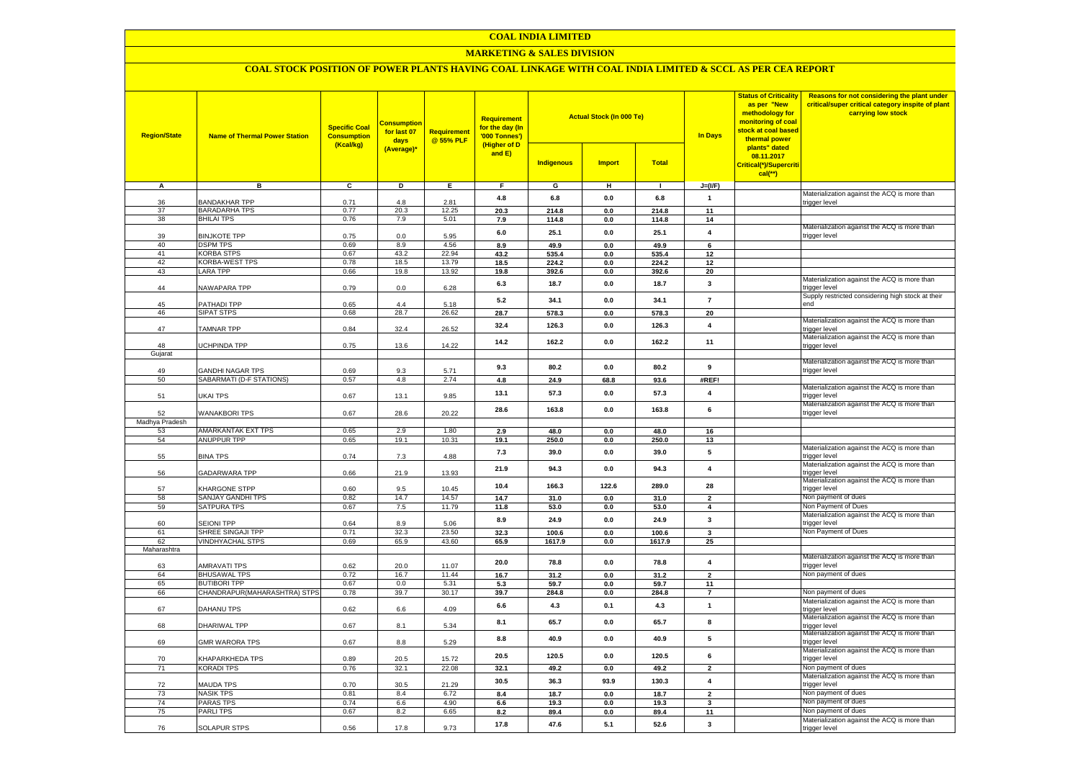#### **COAL INDIA LIMITED**

## **MARKETING & SALES DIVISION**

## **COAL STOCK POSITION OF POWER PLANTS HAVING COAL LINKAGE WITH COAL INDIA LIMITED & SCCL AS PER CEA REPORT**

| <b>Region/State</b> | <b>Name of Thermal Power Station</b>      | <b>Specific Coal</b><br><b>Consumption</b><br>(Kcal/kg) | <b>Consumption</b><br>for last 07<br>days<br>(Average)* | <b>Requirement</b><br>@ 55% PLF | <b>Requirement</b><br>for the day (In<br>'000 Tonnes')<br>(Higher of D<br>and E) | <b>Indigenous</b> | <b>Actual Stock (In 000 Te)</b><br><b>Import</b> | <b>Total</b>   | <b>In Days</b>           | <b>Status of Criticality</b><br>as per "New<br>methodology for<br>monitoring of coal<br>stock at coal based<br>thermal power<br>plants" dated<br>08.11.2017<br>Critical(*)/Supercriti<br>$cal$ (**) | Reasons for not considering the plant under<br>critical/super critical category inspite of plant<br>carrying low stock |
|---------------------|-------------------------------------------|---------------------------------------------------------|---------------------------------------------------------|---------------------------------|----------------------------------------------------------------------------------|-------------------|--------------------------------------------------|----------------|--------------------------|-----------------------------------------------------------------------------------------------------------------------------------------------------------------------------------------------------|------------------------------------------------------------------------------------------------------------------------|
| A                   | в                                         | c                                                       | D                                                       | Ε                               | F                                                                                | G                 | н                                                | $\mathbf{L}$   | $J=(VF)$                 |                                                                                                                                                                                                     |                                                                                                                        |
|                     |                                           |                                                         |                                                         |                                 | 4.8                                                                              | 6.8               | 0.0                                              | 6.8            | $\mathbf{1}$             |                                                                                                                                                                                                     | Materialization against the ACQ is more than                                                                           |
| 36                  | BANDAKHAR TPP                             | 0.71                                                    | 4.8                                                     | 2.81                            |                                                                                  |                   |                                                  |                |                          |                                                                                                                                                                                                     | trigger level                                                                                                          |
| 37<br>38            | <b>BARADARHA TPS</b><br><b>BHILAI TPS</b> | 0.77<br>0.76                                            | 20.3<br>7.9                                             | 12.25<br>5.01                   | 20.3<br>7.9                                                                      | 214.8<br>114.8    | 0.0<br>0.0                                       | 214.8<br>114.8 | 11<br>14                 |                                                                                                                                                                                                     |                                                                                                                        |
|                     |                                           |                                                         |                                                         |                                 |                                                                                  |                   |                                                  |                |                          |                                                                                                                                                                                                     | Materialization against the ACQ is more than                                                                           |
| 39                  | <b>BINJKOTE TPP</b>                       | 0.75                                                    | $0.0\,$                                                 | 5.95                            | 6.0                                                                              | 25.1              | 0.0                                              | 25.1           | $\overline{\mathbf{4}}$  |                                                                                                                                                                                                     | trigger level                                                                                                          |
| 40                  | <b>DSPM TPS</b>                           | 0.69                                                    | 8.9                                                     | 4.56                            | 8.9                                                                              | 49.9              | 0.0                                              | 49.9           | 6                        |                                                                                                                                                                                                     |                                                                                                                        |
| 41                  | <b>KORBA STPS</b>                         | 0.67                                                    | 43.2                                                    | 22.94                           | 43.2                                                                             | 535.4             | $0.0\,$                                          | 535.4          | 12                       |                                                                                                                                                                                                     |                                                                                                                        |
| 42                  | KORBA-WEST TPS                            | 0.78                                                    | 18.5                                                    | 13.79                           | 18.5                                                                             | 224.2             | 0.0                                              | 224.2          | 12                       |                                                                                                                                                                                                     |                                                                                                                        |
| 43                  | <b>LARA TPP</b>                           | 0.66                                                    | 19.8                                                    | 13.92                           | 19.8                                                                             | 392.6             | 0.0                                              | 392.6          | 20                       |                                                                                                                                                                                                     |                                                                                                                        |
| 44                  | <b>VAWAPARA TPP</b>                       | 0.79                                                    | 0.0                                                     | 6.28                            | 6.3                                                                              | 18.7              | 0.0                                              | 18.7           | $\mathbf{3}$             |                                                                                                                                                                                                     | Materialization against the ACQ is more than<br>rigger level                                                           |
|                     |                                           |                                                         |                                                         |                                 |                                                                                  |                   |                                                  |                |                          |                                                                                                                                                                                                     | Supply restricted considering high stock at their                                                                      |
| 45                  | <b>PATHADI TPP</b>                        | 0.65                                                    | 44                                                      | 5.18                            | 5.2                                                                              | 34.1              | 0.0                                              | 34.1           | $\overline{7}$           |                                                                                                                                                                                                     | hne                                                                                                                    |
| 46                  | SIPAT STPS                                | 0.68                                                    | 28.7                                                    | 26.62                           | 28.7                                                                             | 578.3             | 0.0                                              | 578.3          | 20                       |                                                                                                                                                                                                     |                                                                                                                        |
| 47                  | TAMNAR TPP                                | 0.84                                                    | 32.4                                                    | 26.52                           | 32.4                                                                             | 126.3             | 0.0                                              | 126.3          | $\overline{\mathbf{4}}$  |                                                                                                                                                                                                     | Materialization against the ACQ is more than<br>trigger level                                                          |
|                     |                                           |                                                         |                                                         |                                 | 14.2                                                                             | 162.2             | 0.0                                              | 162.2          | 11                       |                                                                                                                                                                                                     | Materialization against the ACQ is more than                                                                           |
| 48                  | <b>JCHPINDA TPP</b>                       | 0.75                                                    | 13.6                                                    | 14.22                           |                                                                                  |                   |                                                  |                |                          |                                                                                                                                                                                                     | trigger level                                                                                                          |
| Gujarat             |                                           |                                                         |                                                         |                                 |                                                                                  |                   |                                                  |                |                          |                                                                                                                                                                                                     |                                                                                                                        |
| 49                  | <b>GANDHI NAGAR TPS</b>                   | 0.69                                                    | 9.3                                                     | 5.71                            | 9.3                                                                              | 80.2              | 0.0                                              | 80.2           | 9                        |                                                                                                                                                                                                     | Materialization against the ACQ is more than<br>trigger level                                                          |
| 50                  | SABARMATI (D-F STATIONS)                  | 0.57                                                    | 4.8                                                     | 2.74                            | 4.8                                                                              | 24.9              | 68.8                                             | 93.6           | #REF!                    |                                                                                                                                                                                                     |                                                                                                                        |
|                     |                                           |                                                         |                                                         |                                 |                                                                                  |                   |                                                  |                |                          |                                                                                                                                                                                                     | Materialization against the ACQ is more than                                                                           |
| 51                  | UKAI TPS                                  | 0.67                                                    | 13.1                                                    | 9.85                            | 13.1                                                                             | 57.3              | 0.0                                              | 57.3           | $\overline{4}$           |                                                                                                                                                                                                     | rigger level                                                                                                           |
|                     |                                           |                                                         |                                                         |                                 | 28.6                                                                             | 163.8             | 0.0                                              | 163.8          | 6                        |                                                                                                                                                                                                     | Materialization against the ACQ is more than                                                                           |
| 52                  | <b>WANAKBORI TPS</b>                      | 0.67                                                    | 28.6                                                    | 20.22                           |                                                                                  |                   |                                                  |                |                          |                                                                                                                                                                                                     | trigger level                                                                                                          |
| Madhya Pradesh      |                                           |                                                         |                                                         |                                 |                                                                                  |                   |                                                  |                |                          |                                                                                                                                                                                                     |                                                                                                                        |
| 53<br>54            | AMARKANTAK EXT TPS<br>ANUPPUR TPP         | 0.65<br>0.65                                            | 2.9<br>19.1                                             | 1.80<br>10.31                   | 2.9<br>19.1                                                                      | 48.0<br>250.0     | 0.0<br>0.0                                       | 48.0<br>250.0  | 16<br>13                 |                                                                                                                                                                                                     |                                                                                                                        |
|                     |                                           |                                                         |                                                         |                                 |                                                                                  |                   |                                                  |                |                          |                                                                                                                                                                                                     | Materialization against the ACQ is more than                                                                           |
| 55                  | <b>BINA TPS</b>                           | 0.74                                                    | 7.3                                                     | 4.88                            | 7.3                                                                              | 39.0              | 0.0                                              | 39.0           | 5                        |                                                                                                                                                                                                     | rigger level                                                                                                           |
|                     |                                           |                                                         |                                                         |                                 | 21.9                                                                             | 94.3              | 0.0                                              | 94.3           | $\overline{4}$           |                                                                                                                                                                                                     | Materialization against the ACQ is more than                                                                           |
| 56                  | <b>GADARWARA TPP</b>                      | 0.66                                                    | 21.9                                                    | 13.93                           |                                                                                  |                   |                                                  |                |                          |                                                                                                                                                                                                     | trigger level                                                                                                          |
| 57                  | KHARGONE STPP                             | 0.60                                                    | 9.5                                                     | 10.45                           | 10.4                                                                             | 166.3             | 122.6                                            | 289.0          | 28                       |                                                                                                                                                                                                     | Materialization against the ACQ is more than<br>trigger level                                                          |
| 58                  | SANJAY GANDHI TPS                         | 0.82                                                    | 14.7                                                    | 14.57                           | 14.7                                                                             | 31.0              | 0.0                                              | 31.0           | $\overline{\phantom{a}}$ |                                                                                                                                                                                                     | Non payment of dues                                                                                                    |
| 59                  | <b>SATPURA TPS</b>                        | 0.67                                                    | 7.5                                                     | 11.79                           | 11.8                                                                             | 53.0              | 0.0                                              | 53.0           | $\overline{4}$           |                                                                                                                                                                                                     | Non Payment of Dues                                                                                                    |
|                     |                                           |                                                         |                                                         |                                 |                                                                                  |                   |                                                  |                |                          |                                                                                                                                                                                                     | Materialization against the ACQ is more than                                                                           |
| 60                  | <b>SEIONI TPP</b>                         | 0.64                                                    | 8.9                                                     | 5.06                            | 8.9                                                                              | 24.9              | 0.0                                              | 24.9           | $\mathbf{3}$             |                                                                                                                                                                                                     | trigger level                                                                                                          |
| 61                  | SHREE SINGAJI TPP                         | 0.71                                                    | 32.3                                                    | 23.50                           | 32.3                                                                             | 100.6             | 0.0                                              | 100.6          | $\overline{\mathbf{3}}$  |                                                                                                                                                                                                     | Non Payment of Dues                                                                                                    |
| 62<br>Maharashtra   | <b>VINDHYACHAL STPS</b>                   | 0.69                                                    | 65.9                                                    | 43.60                           | 65.9                                                                             | 1617.9            | 0.0                                              | 1617.9         | 25                       |                                                                                                                                                                                                     |                                                                                                                        |
|                     |                                           |                                                         |                                                         |                                 |                                                                                  |                   |                                                  |                |                          |                                                                                                                                                                                                     | Materialization against the ACQ is more than                                                                           |
| 63                  | AMRAVATI TPS                              | 0.62                                                    | 20.0                                                    | 11.07                           | 20.0                                                                             | 78.8              | 0.0                                              | 78.8           | $\overline{4}$           |                                                                                                                                                                                                     | trigger level                                                                                                          |
| 64                  | <b>BHUSAWAL TPS</b>                       | 0.72                                                    | 16.7                                                    | 11.44                           | 16.7                                                                             | 31.2              | 0.0                                              | 31.2           | $\overline{2}$           |                                                                                                                                                                                                     | Non payment of dues                                                                                                    |
| 65                  | <b>BUTIBORI TPP</b>                       | 0.67                                                    | 0.0                                                     | 5.31                            | 5.3                                                                              | 59.7              | 0.0                                              | 59.7           | 11                       |                                                                                                                                                                                                     |                                                                                                                        |
| 66                  | CHANDRAPUR(MAHARASHTRA) STPS              | 0.78                                                    | 39.7                                                    | 30.17                           | 39.7                                                                             | 284.8             | 0.0                                              | 284.8          | $\overline{7}$           |                                                                                                                                                                                                     | Non payment of dues                                                                                                    |
| 67                  | DAHANU TPS                                | 0.62                                                    | 6.6                                                     | 4.09                            | 6.6                                                                              | 4.3               | 0.1                                              | 4.3            | $\mathbf{1}$             |                                                                                                                                                                                                     | Materialization against the ACQ is more than<br>trigger level                                                          |
|                     |                                           |                                                         |                                                         |                                 |                                                                                  |                   |                                                  |                | 8                        |                                                                                                                                                                                                     | Materialization against the ACQ is more than                                                                           |
| 68                  | DHARIWAL TPP                              | 0.67                                                    | 8.1                                                     | 5.34                            | 8.1                                                                              | 65.7              | 0.0                                              | 65.7           |                          |                                                                                                                                                                                                     | trigger level                                                                                                          |
| 69                  |                                           | 0.67                                                    | 8.8                                                     | 5.29                            | 8.8                                                                              | 40.9              | 0.0                                              | 40.9           | 5                        |                                                                                                                                                                                                     | Materialization against the ACQ is more than<br>trigger level                                                          |
|                     | <b>GMR WARORA TPS</b>                     |                                                         |                                                         |                                 |                                                                                  |                   |                                                  |                |                          |                                                                                                                                                                                                     | Materialization against the ACQ is more than                                                                           |
| 70                  | <b>CHAPARKHEDA TPS</b>                    | 0.89                                                    | 20.5                                                    | 15.72                           | 20.5                                                                             | 120.5             | 0.0                                              | 120.5          | 6                        |                                                                                                                                                                                                     | trigger level                                                                                                          |
| 71                  | <b>KORADI TPS</b>                         | 0.76                                                    | 32.1                                                    | 22.08                           | 32.1                                                                             | 49.2              | 0.0                                              | 49.2           | $\overline{2}$           |                                                                                                                                                                                                     | Non payment of dues                                                                                                    |
|                     |                                           |                                                         |                                                         |                                 | 30.5                                                                             | 36.3              | 93.9                                             | 130.3          | $\overline{\mathbf{4}}$  |                                                                                                                                                                                                     | Materialization against the ACQ is more than                                                                           |
| 72                  | MAUDA TPS                                 | 0.70                                                    | 30.5                                                    | 21.29                           |                                                                                  |                   |                                                  |                |                          |                                                                                                                                                                                                     | trigger level                                                                                                          |
| 73                  | <b>NASIK TPS</b>                          | 0.81                                                    | 8.4                                                     | 6.72                            | 8.4                                                                              | 18.7              | 0.0                                              | 18.7           | $\overline{2}$           |                                                                                                                                                                                                     | Non payment of dues                                                                                                    |
| 74<br>75            | PARAS TPS<br><b>PARLITPS</b>              | 0.74<br>0.67                                            | 6.6<br>8.2                                              | 4.90<br>6.65                    | 6.6                                                                              | 19.3              | 0.0<br>0.0                                       | 19.3<br>89.4   | 3                        |                                                                                                                                                                                                     | Non payment of dues<br>Non payment of dues                                                                             |
|                     |                                           |                                                         |                                                         |                                 | 8.2                                                                              | 89.4              |                                                  |                | 11                       |                                                                                                                                                                                                     | Materialization against the ACQ is more than                                                                           |
| 76                  | <b>SOLAPUR STPS</b>                       | 0.56                                                    | 17.8                                                    | 9.73                            | 17.8                                                                             | 47.6              | 5.1                                              | 52.6           | 3                        |                                                                                                                                                                                                     | trigger level                                                                                                          |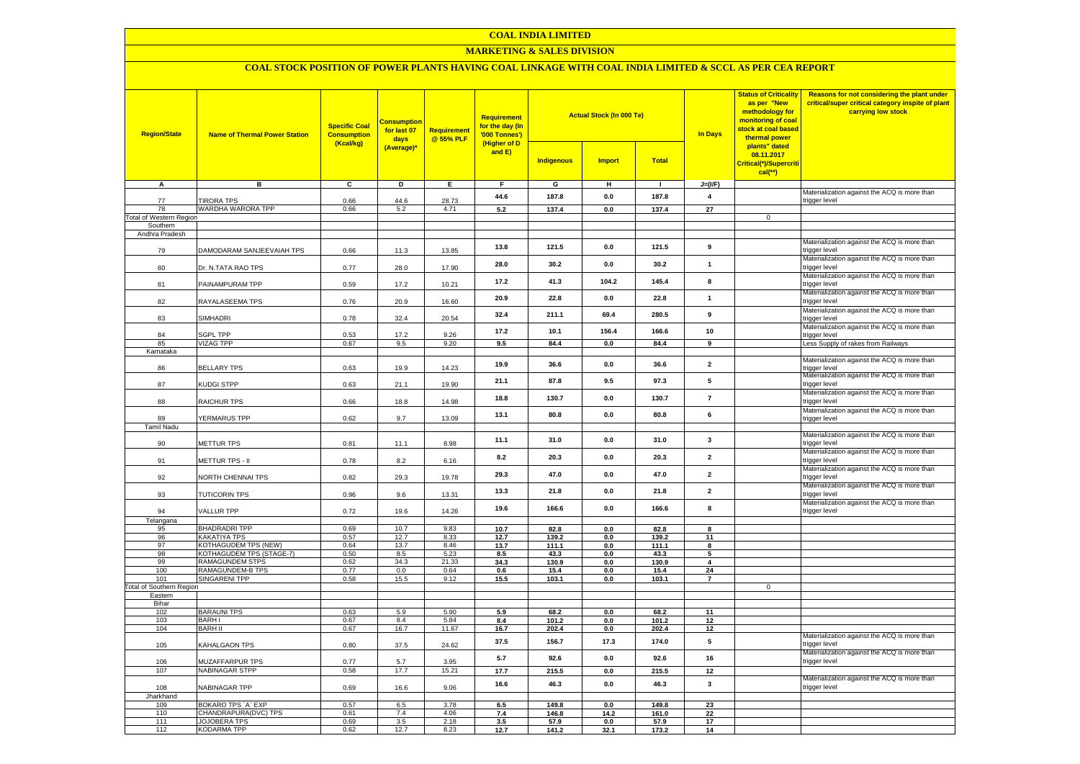#### **COAL INDIA LIMITED**

## **MARKETING & SALES DIVISION**

# **COAL STOCK POSITION OF POWER PLANTS HAVING COAL LINKAGE WITH COAL INDIA LIMITED & SCCL AS PER CEA REPORT**

| <b>Region/State</b>                  | <b>Name of Thermal Power Station</b>       | <b>Specific Coal</b><br><b>Consumption</b><br>(Kcal/kg) | <b>Consumption</b><br>for last 07<br>days<br>(Average)* | <b>Requirement</b><br>@ 55% PLF | <b>Requirement</b><br>for the day (In<br>'000 Tonnes')<br>(Higher of D<br>and E) | <b>Actual Stock (In 000 Te)</b><br><b>Total</b><br><b>Indigenous</b><br><b>Import</b> |                | <b>Status of Criticality</b><br>as per "New<br>methodology for<br>monitoring of coal<br>stock at coal based<br><b>In Days</b><br>thermal power<br>plants" dated<br>08.11.2017<br>Critical(*)/Supercriti<br>$cal$ (**) |                         | Reasons for not considering the plant under<br>critical/super critical category inspite of plant<br>carrying low stock |                                                                                                               |
|--------------------------------------|--------------------------------------------|---------------------------------------------------------|---------------------------------------------------------|---------------------------------|----------------------------------------------------------------------------------|---------------------------------------------------------------------------------------|----------------|-----------------------------------------------------------------------------------------------------------------------------------------------------------------------------------------------------------------------|-------------------------|------------------------------------------------------------------------------------------------------------------------|---------------------------------------------------------------------------------------------------------------|
| А                                    | в                                          | $\mathbf{c}$                                            | D                                                       | Е.                              | F.                                                                               | G                                                                                     | н              | $\mathbf{I}$                                                                                                                                                                                                          | $J=(I/F)$               |                                                                                                                        |                                                                                                               |
|                                      |                                            |                                                         |                                                         |                                 | 44.6                                                                             | 187.8                                                                                 | $0.0\,$        | 187.8                                                                                                                                                                                                                 | $\boldsymbol{4}$        |                                                                                                                        | Materialization against the ACQ is more than                                                                  |
| 77                                   | <b>TIRORA TPS</b>                          | 0.66                                                    | 44.6                                                    | 28.73                           |                                                                                  |                                                                                       |                |                                                                                                                                                                                                                       |                         |                                                                                                                        | trigger level                                                                                                 |
| 78<br><b>Total of Western Region</b> | WARDHA WARORA TPP                          | 0.66                                                    | 5.2                                                     | 4.71                            | 5.2                                                                              | 137.4                                                                                 | 0.0            | 137.4                                                                                                                                                                                                                 | $\overline{27}$         | $\mathbf 0$                                                                                                            |                                                                                                               |
| Southern                             |                                            |                                                         |                                                         |                                 |                                                                                  |                                                                                       |                |                                                                                                                                                                                                                       |                         |                                                                                                                        |                                                                                                               |
| Andhra Pradesh                       |                                            |                                                         |                                                         |                                 |                                                                                  |                                                                                       |                |                                                                                                                                                                                                                       |                         |                                                                                                                        |                                                                                                               |
| 79                                   | DAMODARAM SANJEEVAIAH TPS                  | 0.66                                                    | 11.3                                                    | 13.85                           | 13.8                                                                             | 121.5                                                                                 | 0.0            | 121.5                                                                                                                                                                                                                 | 9                       |                                                                                                                        | Materialization against the ACQ is more than<br>trigger level                                                 |
| 80                                   | Dr. N.TATA RAO TPS                         | 0.77                                                    | 28.0                                                    | 17.90                           | 28.0                                                                             | 30.2                                                                                  | 0.0            | 30.2                                                                                                                                                                                                                  | $\overline{1}$          |                                                                                                                        | Materialization against the ACQ is more than<br>trigger level                                                 |
| 81                                   | PAINAMPURAM TPP                            | 0.59                                                    | 17.2                                                    | 10.21                           | 17.2                                                                             | 41.3                                                                                  | 104.2          | 145.4                                                                                                                                                                                                                 | 8                       |                                                                                                                        | Materialization against the ACQ is more than<br>trigger level<br>Materialization against the ACQ is more than |
| 82                                   | RAYALASEEMA TPS                            | 0.76                                                    | 20.9                                                    | 16.60                           | 20.9                                                                             | 22.8                                                                                  | 0.0            | 22.8                                                                                                                                                                                                                  | $\overline{1}$          |                                                                                                                        | trigger level<br>Materialization against the ACQ is more than                                                 |
| 83                                   | SIMHADRI                                   | 0.78                                                    | 32.4                                                    | 20.54                           | 32.4                                                                             | 211.1                                                                                 | 69.4           | 280.5                                                                                                                                                                                                                 | 9                       |                                                                                                                        | trigger level<br>Materialization against the ACQ is more than                                                 |
| 84                                   | SGPL TPP                                   | 0.53                                                    | 17.2                                                    | 9.26                            | 17.2                                                                             | 10.1                                                                                  | 156.4          | 166.6                                                                                                                                                                                                                 | 10                      |                                                                                                                        | trigger level                                                                                                 |
| 85                                   | <b>VIZAG TPP</b>                           | 0.67                                                    | 9.5                                                     | 9.20                            | 9.5                                                                              | 84.4                                                                                  | 0.0            | 84.4                                                                                                                                                                                                                  | $\overline{9}$          |                                                                                                                        | Less Supply of rakes from Railways                                                                            |
| Karnataka                            |                                            |                                                         |                                                         |                                 |                                                                                  |                                                                                       |                |                                                                                                                                                                                                                       |                         |                                                                                                                        |                                                                                                               |
| 86                                   | <b>BELLARY TPS</b>                         | 0.63                                                    | 19.9                                                    | 14.23                           | 19.9                                                                             | 36.6                                                                                  | 0.0            | 36.6                                                                                                                                                                                                                  | $\overline{2}$          |                                                                                                                        | Materialization against the ACQ is more than<br>trigger level<br>Materialization against the ACQ is more than |
| 87                                   | <b>KUDGI STPP</b>                          | 0.63                                                    | 21.1                                                    | 19.90                           | 21.1                                                                             | 87.8                                                                                  | 9.5            | 97.3                                                                                                                                                                                                                  | 5                       |                                                                                                                        | trigger level<br>Materialization against the ACQ is more than                                                 |
| 88                                   | RAICHUR TPS                                | 0.66                                                    | 18.8                                                    | 14.98                           | 18.8                                                                             | 130.7                                                                                 | 0.0            | 130.7                                                                                                                                                                                                                 | $\overline{7}$          |                                                                                                                        | trigger level<br>Materialization against the ACQ is more than                                                 |
| 89<br><b>Tamil Nadu</b>              | YERMARUS TPP                               | 0.62                                                    | 9.7                                                     | 13.09                           | 13.1                                                                             | 80.8                                                                                  | 0.0            | 80.8                                                                                                                                                                                                                  | 6                       |                                                                                                                        | trigger level                                                                                                 |
| 90                                   | METTUR TPS                                 | 0.81                                                    | 11.1                                                    | 8.98                            | 11.1                                                                             | 31.0                                                                                  | 0.0            | 31.0                                                                                                                                                                                                                  | $\mathbf{3}$            |                                                                                                                        | Materialization against the ACQ is more than<br>rigger level                                                  |
| 91                                   | METTUR TPS - II                            | 0.78                                                    | 8.2                                                     | 6.16                            | 8.2                                                                              | 20.3                                                                                  | 0.0            | 20.3                                                                                                                                                                                                                  | $\overline{\mathbf{2}}$ |                                                                                                                        | Materialization against the ACQ is more than<br>trigger level                                                 |
| 92                                   | NORTH CHENNAI TPS                          | 0.82                                                    | 29.3                                                    | 19.78                           | 29.3                                                                             | 47.0                                                                                  | $0.0\,$        | 47.0                                                                                                                                                                                                                  | $\mathbf 2$             |                                                                                                                        | Materialization against the ACQ is more than<br>trigger level                                                 |
| 93                                   | TUTICORIN TPS                              | 0.96                                                    | 9.6                                                     | 13.31                           | 13.3                                                                             | 21.8                                                                                  | 0.0            | 21.8                                                                                                                                                                                                                  | $\overline{\mathbf{2}}$ |                                                                                                                        | Materialization against the ACQ is more than<br>trigger level                                                 |
| 94                                   | <b>VALLUR TPP</b>                          | 0.72                                                    | 19.6                                                    | 14.26                           | 19.6                                                                             | 166.6                                                                                 | 0.0            | 166.6                                                                                                                                                                                                                 | 8                       |                                                                                                                        | Materialization against the ACQ is more than<br>trigger level                                                 |
| Telangana<br>95                      | <b>BHADRADRI TPP</b>                       | 0.69                                                    | 10.7                                                    | 9.83                            | 10.7                                                                             | 82.8                                                                                  | 0.0            | 82.8                                                                                                                                                                                                                  | 8                       |                                                                                                                        |                                                                                                               |
| 96                                   | KAKATIYA TPS                               | 0.57                                                    | 12.7                                                    | 8.33                            | 12.7                                                                             | 139.2                                                                                 | 0.0            | 139.2                                                                                                                                                                                                                 | 11                      |                                                                                                                        |                                                                                                               |
| 97                                   | KOTHAGUDEM TPS (NEW)                       | 0.64                                                    | 13.7                                                    | 8.46                            | 13.7                                                                             | 111.1                                                                                 | 0.0            | 111.1                                                                                                                                                                                                                 | 8                       |                                                                                                                        |                                                                                                               |
| 98                                   | KOTHAGUDEM TPS (STAGE-7)                   | 0.50                                                    | 8.5                                                     | 5.23                            | 8.5                                                                              | 43.3                                                                                  | 0.0            | 43.3                                                                                                                                                                                                                  | 5                       |                                                                                                                        |                                                                                                               |
| 99<br>100                            | RAMAGUNDEM STPS<br>RAMAGUNDEM-B TPS        | 0.62<br>0.77                                            | 34.3<br>0.0                                             | 21.33<br>0.64                   | 34.3                                                                             | 130.9                                                                                 | $0.0\,$        | 130.9                                                                                                                                                                                                                 | $\overline{4}$          |                                                                                                                        |                                                                                                               |
| 101                                  | <b>SINGARENI TPP</b>                       | 0.58                                                    | 15.5                                                    | 9.12                            | 0.6<br>15.5                                                                      | 15.4<br>103.1                                                                         | 0.0<br>$0.0\,$ | 15.4<br>103.1                                                                                                                                                                                                         | 24<br>$\overline{7}$    |                                                                                                                        |                                                                                                               |
| <b>Total of Southern Region</b>      |                                            |                                                         |                                                         |                                 |                                                                                  |                                                                                       |                |                                                                                                                                                                                                                       |                         | $\mathbf 0$                                                                                                            |                                                                                                               |
| Eastern                              |                                            |                                                         |                                                         |                                 |                                                                                  |                                                                                       |                |                                                                                                                                                                                                                       |                         |                                                                                                                        |                                                                                                               |
| Bihar                                |                                            |                                                         |                                                         |                                 |                                                                                  |                                                                                       |                |                                                                                                                                                                                                                       |                         |                                                                                                                        |                                                                                                               |
| 102<br>103                           | <b>BARAUNI TPS</b><br><b>BARHI</b>         | 0.63<br>0.67                                            | 5.9<br>8.4                                              | 5.90<br>5.84                    | 5.9<br>8.4                                                                       | 68.2<br>101.2                                                                         | 0.0<br>$0.0\,$ | 68.2<br>101.2                                                                                                                                                                                                         | 11<br>12                |                                                                                                                        |                                                                                                               |
| 104                                  | <b>BARH II</b>                             | 0.67                                                    | 16.7                                                    | 11.67                           | 16.7                                                                             | 202.4                                                                                 | 0.0            | 202.4                                                                                                                                                                                                                 | 12                      |                                                                                                                        |                                                                                                               |
| 105                                  | KAHALGAON TPS                              | 0.80                                                    | 37.5                                                    | 24.62                           | 37.5                                                                             | 156.7                                                                                 | 17.3           | 174.0                                                                                                                                                                                                                 | 5                       |                                                                                                                        | Materialization against the ACQ is more than<br>rigger level                                                  |
| 106                                  | MUZAFFARPUR TPS                            | 0.77                                                    | 5.7                                                     | 3.95                            | 5.7                                                                              | 92.6                                                                                  | 0.0            | 92.6                                                                                                                                                                                                                  | 16                      |                                                                                                                        | Materialization against the ACQ is more than<br>trigger level                                                 |
| 107                                  | NABINAGAR STPP                             | 0.58                                                    | 17.7                                                    | 15.21                           | 17.7                                                                             | 215.5                                                                                 | 0.0            | 215.5                                                                                                                                                                                                                 | 12                      |                                                                                                                        |                                                                                                               |
| 108                                  | NABINAGAR TPP                              | 0.69                                                    | 16.6                                                    | 9.06                            | 16.6                                                                             | 46.3                                                                                  | 0.0            | 46.3                                                                                                                                                                                                                  | $\overline{\mathbf{3}}$ |                                                                                                                        | Materialization against the ACQ is more than<br>trigger level                                                 |
| Jharkhand                            |                                            |                                                         |                                                         |                                 |                                                                                  |                                                                                       |                |                                                                                                                                                                                                                       |                         |                                                                                                                        |                                                                                                               |
| 109<br>110                           | BOKARO TPS 'A' EXP<br>CHANDRAPURA(DVC) TPS | 0.57<br>0.61                                            | 6.5<br>7.4                                              | 3.78<br>4.06                    | 6.5<br>7.4                                                                       | 149.8<br>146.8                                                                        | 0.0<br>14.2    | 149.8<br>161.0                                                                                                                                                                                                        | 23<br>22                |                                                                                                                        |                                                                                                               |
| 111                                  | <b>JOJOBERA TPS</b>                        | 0.69                                                    | 3.5                                                     | 2.18                            | 3.5                                                                              | 57.9                                                                                  | $\mathbf{0.0}$ | 57.9                                                                                                                                                                                                                  | 17                      |                                                                                                                        |                                                                                                               |
| 112                                  | <b>KODARMA TPP</b>                         | 0.62                                                    | 12.7                                                    | 8.23                            | 12.7                                                                             | 141.2                                                                                 | 32.1           | 173.2                                                                                                                                                                                                                 | 14                      |                                                                                                                        |                                                                                                               |